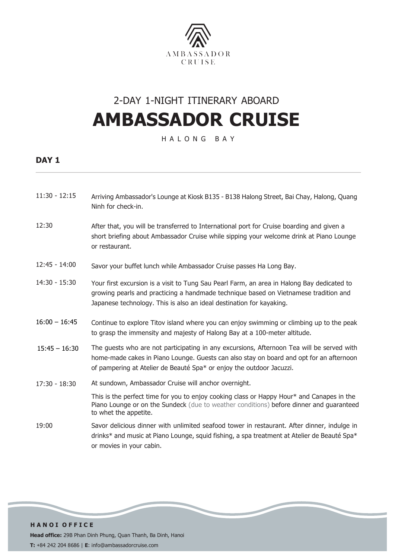

## 2-DAY 1-NIGHT ITINERARY ABOARD **AMBASSADOR CRUISE**

H A L O N G B A Y

### **DAY 1**

- 11:30 12:15 Arriving Ambassador's Lounge at Kiosk B135 - B138 Halong Street, Bai Chay, Halong, Quang Ninh for check-in.
- 12:30 After that, you will be transferred to International port for Cruise boarding and given a short briefing about Ambassador Cruise while sipping your welcome drink at Piano Lounge or restaurant.
- 12:45 14:00 Savor your buffet lunch while Ambassador Cruise passes Ha Long Bay.
- 14:30 15:30 Your first excursion is a visit to Tung Sau Pearl Farm, an area in Halong Bay dedicated to growing pearls and practicing a handmade technique based on Vietnamese tradition and Japanese technology. This is also an ideal destination for kayaking.
- $16:00 16:45$ Continue to explore Titov island where you can enjoy swimming or climbing up to the peak to grasp the immensity and majesty of Halong Bay at a 100-meter altitude.
- 15:45 16:30 The guests who are not participating in any excursions, Afternoon Tea will be served with home-made cakes in Piano Lounge. Guests can also stay on board and opt for an afternoon of pampering at Atelier de Beauté Spa\* or enjoy the outdoor Jacuzzi.
- $17:30 18:30$ At sundown, Ambassador Cruise will anchor overnight.

This is the perfect time for you to enjoy cooking class or Happy Hour\* and Canapes in the Piano Lounge or on the Sundeck (due to weather conditions) before dinner and guaranteed to whet the appetite.

19:00 Savor delicious dinner with unlimited seafood tower in restaurant. After dinner, indulge in drinks\* and music at Piano Lounge, squid fishing, a spa treatment at Atelier de Beauté Spa\* or movies in your cabin.

**H A N O I O F F I C E Head office:** 29B Phan Dinh Phung, Quan Thanh, Ba Dinh, Hanoi **T:** +84 242 204 8686 | **E**: info@ambassadorcruise.com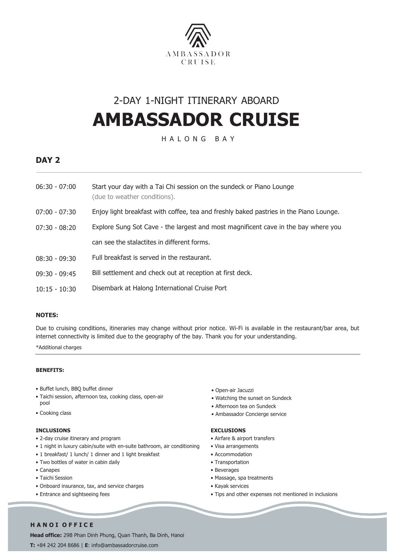

## 2-DAY 1-NIGHT ITINERARY ABOARD **AMBASSADOR CRUISE**

H A L O N G B A Y

### **DAY 2**

| 06:30 - 07:00   | Start your day with a Tai Chi session on the sundeck or Piano Lounge<br>(due to weather conditions). |
|-----------------|------------------------------------------------------------------------------------------------------|
| 07:00 - 07:30   | Enjoy light breakfast with coffee, tea and freshly baked pastries in the Piano Lounge.               |
| 07:30 - 08:20   | Explore Sung Sot Cave - the largest and most magnificent cave in the bay where you                   |
|                 | can see the stalactites in different forms.                                                          |
| 08:30 - 09:30   | Full breakfast is served in the restaurant.                                                          |
| 09:30 - 09:45   | Bill settlement and check out at reception at first deck.                                            |
| $10:15 - 10:30$ | Disembark at Halong International Cruise Port                                                        |

#### **NOTES:**

Due to cruising conditions, itineraries may change without prior notice. Wi-Fi is available in the restaurant/bar area, but internet connectivity is limited due to the geography of the bay. Thank you for your understanding.

\*Additional charges

#### **BENEFITS:**

- Buffet lunch, BBQ buffet dinner
- Taichi session, afternoon tea, cooking class, open-air pool
- Cooking class

#### **INCLUSIONS**

- 2-day cruise itinerary and program
- 1 night in luxury cabin/suite with en-suite bathroom, air conditioning
- 1 breakfast/ 1 lunch/ 1 dinner and 1 light breakfast
- Two bottles of water in cabin daily
- Canapes
- Taichi Session
- Onboard insurance, tax, and service charges
- Entrance and sightseeing fees
- Open-air Jacuzzi
- Watching the sunset on Sundeck
- Afternoon tea on Sundeck
- Ambassador Concierge service

#### **EXCLUSIONS**

- Airfare & airport transfers
- Visa arrangements
- Accommodation
- Transportation
- Beverages
- Massage, spa treatments
- Kayak services
- Tips and other expenses not mentioned in inclusions

#### **H A N O I O F F I C E**

**Head office:** 29B Phan Dinh Phung, Quan Thanh, Ba Dinh, Hanoi **T:** +84 242 204 8686 | **E**: info@ambassadorcruise.com